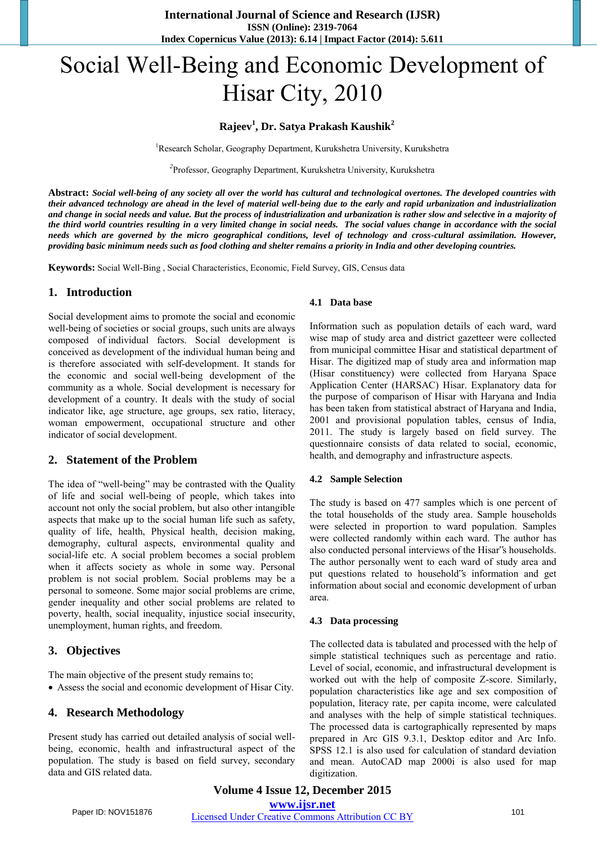# Social Well-Being and Economic Development of Hisar City, 2010

# **Rajeev<sup>1</sup> , Dr. Satya Prakash Kaushik<sup>2</sup>**

<sup>1</sup>Research Scholar, Geography Department, Kurukshetra University, Kurukshetra

*2* Professor, Geography Department, Kurukshetra University, Kurukshetra

**Abstract:** *Social well-being of any society all over the world has cultural and technological overtones. The developed countries with their advanced technology are ahead in the level of material well-being due to the early and rapid urbanization and industrialization and change in social needs and value. But the process of industrialization and urbanization is rather slow and selective in a majority of the third world countries resulting in a very limited change in social needs. The social values change in accordance with the social needs which are governed by the micro geographical conditions, level of technology and cross-cultural assimilation. However, providing basic minimum needs such as food clothing and shelter remains a priority in India and other developing countries.* 

**Keywords:** Social Well-Bing , Social Characteristics, Economic, Field Survey, GIS, Census data

### **1. Introduction**

Social development aims to promote the social and economic well-being of societies or social groups, such units are always composed of individual factors. Social development is conceived as development of the individual human being and is therefore associated with self-development. It stands for the economic and social well-being development of the community as a whole. Social development is necessary for development of a country. It deals with the study of social indicator like, age structure, age groups, sex ratio, literacy, woman empowerment, occupational structure and other indicator of social development.

# **2. Statement of the Problem**

The idea of "well-being" may be contrasted with the Quality of life and social well-being of people, which takes into account not only the social problem, but also other intangible aspects that make up to the social human life such as safety, quality of life, health, Physical health, decision making, demography, cultural aspects, environmental quality and social-life etc. A social problem becomes a social problem when it affects society as whole in some way. Personal problem is not social problem. Social problems may be a personal to someone. Some major social problems are crime, gender inequality and other social problems are related to poverty, health, social inequality, injustice social insecurity, unemployment, human rights, and freedom.

# **3. Objectives**

The main objective of the present study remains to;

Assess the social and economic development of Hisar City.

# **4. Research Methodology**

Present study has carried out detailed analysis of social wellbeing, economic, health and infrastructural aspect of the population. The study is based on field survey, secondary data and GIS related data.

#### **4.1 Data base**

Information such as population details of each ward, ward wise map of study area and district gazetteer were collected from municipal committee Hisar and statistical department of Hisar. The digitized map of study area and information map (Hisar constituency) were collected from Haryana Space Application Center (HARSAC) Hisar. Explanatory data for the purpose of comparison of Hisar with Haryana and India has been taken from statistical abstract of Haryana and India, 2001 and provisional population tables, census of India, 2011. The study is largely based on field survey. The questionnaire consists of data related to social, economic, health, and demography and infrastructure aspects.

#### **4.2 Sample Selection**

The study is based on 477 samples which is one percent of the total households of the study area. Sample households were selected in proportion to ward population. Samples were collected randomly within each ward. The author has also conducted personal interviews of the Hisar"s households. The author personally went to each ward of study area and put questions related to household"s information and get information about social and economic development of urban area.

#### **4.3 Data processing**

The collected data is tabulated and processed with the help of simple statistical techniques such as percentage and ratio. Level of social, economic, and infrastructural development is worked out with the help of composite Z-score. Similarly, population characteristics like age and sex composition of population, literacy rate, per capita income, were calculated and analyses with the help of simple statistical techniques. The processed data is cartographically represented by maps prepared in Arc GIS 9.3.1, Desktop editor and Arc Info. SPSS 12.1 is also used for calculation of standard deviation and mean. AutoCAD map 2000i is also used for map digitization.

**Volume 4 Issue 12, December 2015 www.ijsr.net**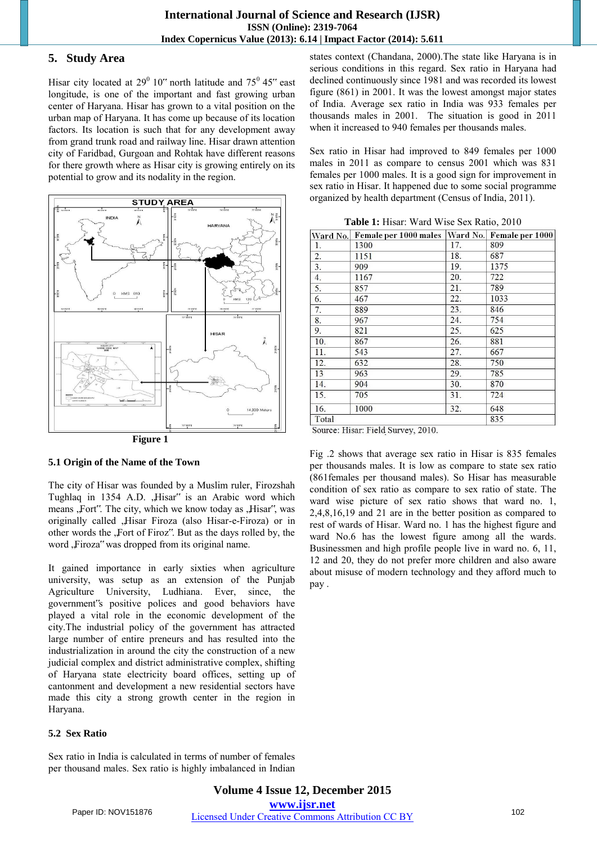# **5. Study Area**

Hisar city located at  $29^0$  10" north latitude and  $75^0$  45" east longitude, is one of the important and fast growing urban center of Haryana. Hisar has grown to a vital position on the urban map of Haryana. It has come up because of its location factors. Its location is such that for any development away from grand trunk road and railway line. Hisar drawn attention city of Faridbad, Gurgoan and Rohtak have different reasons for there growth where as Hisar city is growing entirely on its potential to grow and its nodality in the region.





# **5.1 Origin of the Name of the Town**

The city of Hisar was founded by a Muslim ruler, Firozshah Tughlaq in 1354 A.D. "Hisar" is an Arabic word which means ,Fort". The city, which we know today as ,Hisar", was originally called ,Hisar Firoza (also Hisar-e-Firoza) or in other words the "Fort of Firoz". But as the days rolled by, the word ,Firoza" was dropped from its original name.

It gained importance in early sixties when agriculture university, was setup as an extension of the Punjab Agriculture University, Ludhiana. Ever, since, the government"s positive polices and good behaviors have played a vital role in the economic development of the city.The industrial policy of the government has attracted large number of entire preneurs and has resulted into the industrialization in around the city the construction of a new judicial complex and district administrative complex, shifting of Haryana state electricity board offices, setting up of cantonment and development a new residential sectors have made this city a strong growth center in the region in Haryana.

#### **5.2 Sex Ratio**

Sex ratio in India is calculated in terms of number of females per thousand males. Sex ratio is highly imbalanced in Indian states context (Chandana, 2000).The state like Haryana is in serious conditions in this regard. Sex ratio in Haryana had declined continuously since 1981 and was recorded its lowest figure (861) in 2001. It was the lowest amongst major states of India. Average sex ratio in India was 933 females per thousands males in 2001. The situation is good in 2011 when it increased to 940 females per thousands males.

Sex ratio in Hisar had improved to 849 females per 1000 males in 2011 as compare to census 2001 which was 831 females per 1000 males. It is a good sign for improvement in sex ratio in Hisar. It happened due to some social programme organized by health department (Census of India, 2011).

| Ward No. | Female per 1000 males |     | Ward No. Female per 1000 |
|----------|-----------------------|-----|--------------------------|
| 1.       | 1300                  | 17. | 809                      |
| 2.       | 1151                  | 18. | 687                      |
| 3.       | 909                   | 19. | 1375                     |
| 4.       | 1167                  | 20. | 722                      |
| 5.       | 857                   | 21. | 789                      |
| 6.       | 467                   | 22. | 1033                     |
| 7.       | 889                   | 23. | 846                      |
| 8.       | 967                   | 24. | 754                      |
| 9.       | 821                   | 25. | 625                      |
| 10.      | 867                   | 26. | 881                      |
| 11.      | 543                   | 27. | 667                      |
| 12.      | 632                   | 28. | 750                      |
| 13       | 963                   | 29. | 785                      |
| 14.      | 904                   | 30. | 870                      |
| 15.      | 705                   | 31. | 724                      |
| 16.      | 1000                  | 32. | 648                      |
| Total    |                       |     | 835                      |

**Table 1:** Hisar: Ward Wise Sex Ratio, 2010

Source: Hisar: Field Survey, 2010.

Fig .2 shows that average sex ratio in Hisar is 835 females per thousands males. It is low as compare to state sex ratio (861females per thousand males). So Hisar has measurable condition of sex ratio as compare to sex ratio of state. The ward wise picture of sex ratio shows that ward no. 1, 2,4,8,16,19 and 21 are in the better position as compared to rest of wards of Hisar. Ward no. 1 has the highest figure and ward No.6 has the lowest figure among all the wards. Businessmen and high profile people live in ward no. 6, 11, 12 and 20, they do not prefer more children and also aware about misuse of modern technology and they afford much to pay .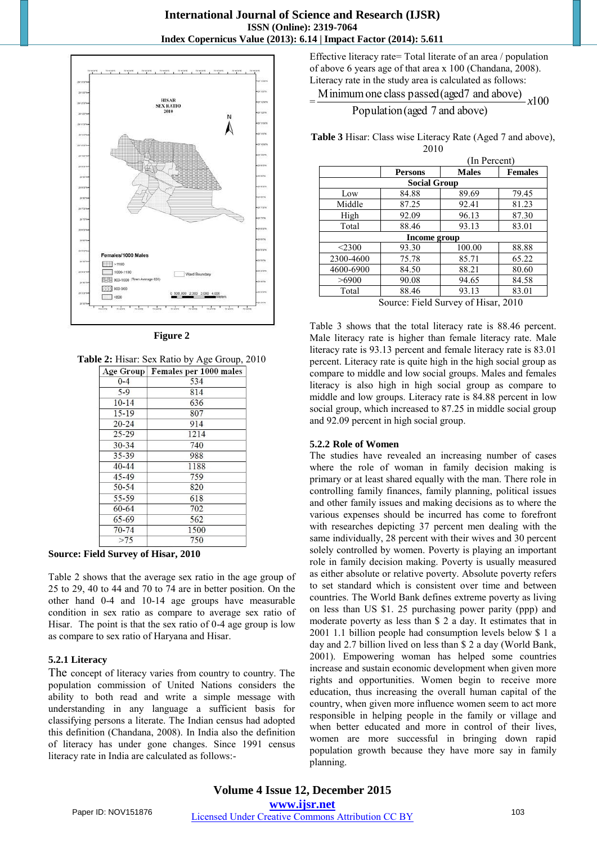

**Figure 2** 

**Table 2:** Hisar: Sex Ratio by Age Group, 2010

| Age Group | Females per 1000 males |  |  |  |
|-----------|------------------------|--|--|--|
| $0 - 4$   | 534                    |  |  |  |
| $5-9$     | 814                    |  |  |  |
| $10-14$   | 636                    |  |  |  |
| $15 - 19$ | 807                    |  |  |  |
| $20 - 24$ | 914                    |  |  |  |
| $25 - 29$ | 1214                   |  |  |  |
| $30 - 34$ | 740                    |  |  |  |
| 35-39     | 988                    |  |  |  |
| $40 - 44$ | 1188                   |  |  |  |
| 45-49     | 759                    |  |  |  |
| 50 54     | 820                    |  |  |  |
| 55-59     | 618                    |  |  |  |
| 60-64     | 702                    |  |  |  |
| 65-69     | 562                    |  |  |  |
| $70 - 74$ | 1500                   |  |  |  |
| >75       | 750                    |  |  |  |

**Source: Field Survey of Hisar, 2010** 

Table 2 shows that the average sex ratio in the age group of 25 to 29, 40 to 44 and 70 to 74 are in better position. On the other hand 0-4 and 10-14 age groups have measurable condition in sex ratio as compare to average sex ratio of Hisar. The point is that the sex ratio of 0-4 age group is low as compare to sex ratio of Haryana and Hisar.

#### **5.2.1 Literacy**

The concept of literacy varies from country to country. The population commission of United Nations considers the ability to both read and write a simple message with understanding in any language a sufficient basis for classifying persons a literate. The Indian census had adopted this definition (Chandana, 2008). In India also the definition of literacy has under gone changes. Since 1991 census literacy rate in India are calculated as follows:-

Effective literacy rate= Total literate of an area / population of above 6 years age of that area x 100 (Chandana, 2008). Literacy rate in the study area is calculated as follows:

 $=\frac{\text{Minimum one class passed (aged7 and above)}}{\text{2.13}} \times 100$ *x*

Population (aged 7 and above)

**Table 3** Hisar: Class wise Literacy Rate (Aged 7 and above), 2010

|           | (In Percent)        |              |                |  |
|-----------|---------------------|--------------|----------------|--|
|           | <b>Persons</b>      | <b>Males</b> | <b>Females</b> |  |
|           | <b>Social Group</b> |              |                |  |
| Low       | 84.88               | 89.69        | 79.45          |  |
| Middle    | 87.25               | 92.41        | 81.23          |  |
| High      | 92.09               | 96.13        | 87.30          |  |
| Total     | 88.46               | 93.13        | 83.01          |  |
|           | Income group        |              |                |  |
| < 2300    | 93.30               | 100.00       | 88.88          |  |
| 2300-4600 | 75.78               | 85.71        | 65.22          |  |
| 4600-6900 | 84.50               | 88.21        | 80.60          |  |
| >6900     | 90.08               | 94.65        | 84.58          |  |
| Total     | 88.46               | 93.13        | 83.01          |  |

Source: Field Survey of Hisar, 2010

Table 3 shows that the total literacy rate is 88.46 percent. Male literacy rate is higher than female literacy rate. Male literacy rate is 93.13 percent and female literacy rate is 83.01 percent. Literacy rate is quite high in the high social group as compare to middle and low social groups. Males and females literacy is also high in high social group as compare to middle and low groups. Literacy rate is 84.88 percent in low social group, which increased to 87.25 in middle social group and 92.09 percent in high social group.

# **5.2.2 Role of Women**

The studies have revealed an increasing number of cases where the role of woman in family decision making is primary or at least shared equally with the man. There role in controlling family finances, family planning, political issues and other family issues and making decisions as to where the various expenses should be incurred has come to forefront with researches depicting 37 percent men dealing with the same individually, 28 percent with their wives and 30 percent solely controlled by women. Poverty is playing an important role in family decision making. Poverty is usually measured as either absolute or relative poverty. Absolute poverty refers to set standard which is consistent over time and between countries. The World Bank defines extreme poverty as living on less than US \$1. 25 purchasing power parity (ppp) and moderate poverty as less than \$ 2 a day. It estimates that in 2001 1.1 billion people had consumption levels below \$ 1 a day and 2.7 billion lived on less than \$ 2 a day (World Bank, 2001). Empowering woman has helped some countries increase and sustain economic development when given more rights and opportunities. Women begin to receive more education, thus increasing the overall human capital of the country, when given more influence women seem to act more responsible in helping people in the family or village and when better educated and more in control of their lives, women are more successful in bringing down rapid population growth because they have more say in family planning.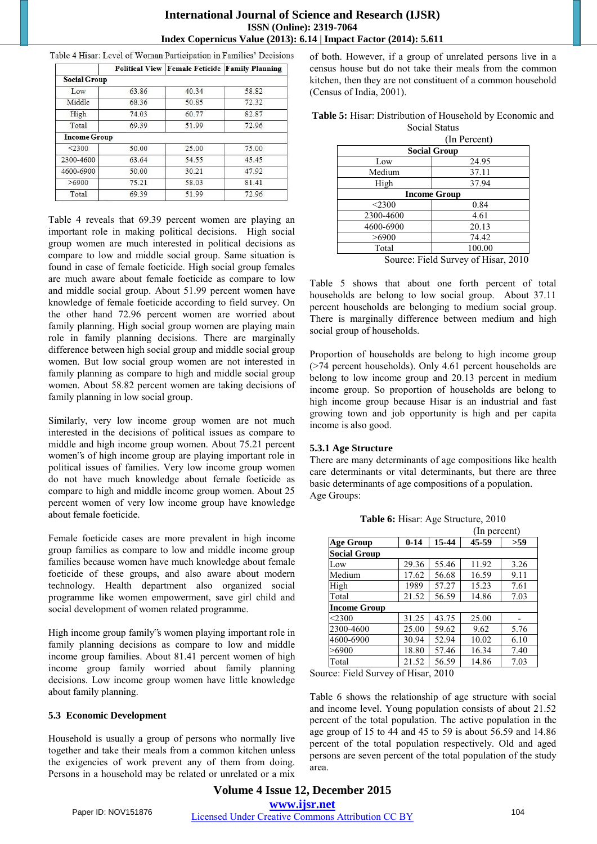# **International Journal of Science and Research (IJSR) ISSN (Online): 2319-7064 Index Copernicus Value (2013): 6.14 | Impact Factor (2014): 5.611**

| <b>Social Group</b> |       |       |       |
|---------------------|-------|-------|-------|
| Low                 | 63.86 | 40.34 | 58.82 |
| Middle              | 68.36 | 50.85 | 72.32 |
| High                | 74.03 | 60.77 | 82.87 |
| Total               | 69.39 | 51.99 | 72.96 |
| <b>Income Group</b> |       |       |       |
| < 2300              | 50.00 | 25.00 | 75.00 |
| 2300-4600           | 63.64 | 54.55 | 45.45 |
| 4600-6900           | 50.00 | 30.21 | 47.92 |
| >6900               | 75.21 | 58.03 | 81.41 |
| Total               | 69.39 | 51.99 | 72.96 |

Table 4 Hisar: Level of Woman Participation in Families' Decisions **Political View Female Feticide Family Planning** 

Table 4 reveals that 69.39 percent women are playing an important role in making political decisions. High social group women are much interested in political decisions as compare to low and middle social group. Same situation is found in case of female foeticide. High social group females are much aware about female foeticide as compare to low and middle social group. About 51.99 percent women have knowledge of female foeticide according to field survey. On the other hand 72.96 percent women are worried about family planning. High social group women are playing main role in family planning decisions. There are marginally difference between high social group and middle social group women. But low social group women are not interested in family planning as compare to high and middle social group women. About 58.82 percent women are taking decisions of family planning in low social group.

Similarly, very low income group women are not much interested in the decisions of political issues as compare to middle and high income group women. About 75.21 percent women"s of high income group are playing important role in political issues of families. Very low income group women do not have much knowledge about female foeticide as compare to high and middle income group women. About 25 percent women of very low income group have knowledge about female foeticide.

Female foeticide cases are more prevalent in high income group families as compare to low and middle income group families because women have much knowledge about female foeticide of these groups, and also aware about modern technology. Health department also organized social programme like women empowerment, save girl child and social development of women related programme.

High income group family"s women playing important role in family planning decisions as compare to low and middle income group families. About 81.41 percent women of high income group family worried about family planning decisions. Low income group women have little knowledge about family planning.

#### **5.3 Economic Development**

Household is usually a group of persons who normally live together and take their meals from a common kitchen unless the exigencies of work prevent any of them from doing. Persons in a household may be related or unrelated or a mix of both. However, if a group of unrelated persons live in a census house but do not take their meals from the common kitchen, then they are not constituent of a common household (Census of India, 2001).

| Table 5: Hisar: Distribution of Household by Economic and |  |
|-----------------------------------------------------------|--|
| Social Status                                             |  |

|           | (In Percent)        |  |  |  |
|-----------|---------------------|--|--|--|
|           | <b>Social Group</b> |  |  |  |
| Low       | 24.95               |  |  |  |
| Medium    | 37.11               |  |  |  |
| High      | 37.94               |  |  |  |
|           | <b>Income Group</b> |  |  |  |
| $<$ 2300  | 0.84                |  |  |  |
| 2300-4600 | 4.61                |  |  |  |
| 4600-6900 | 20.13               |  |  |  |
| >6900     | 74.42               |  |  |  |
| Total     | 100.00              |  |  |  |
|           |                     |  |  |  |

Source: Field Survey of Hisar, 2010

Table 5 shows that about one forth percent of total households are belong to low social group. About 37.11 percent households are belonging to medium social group. There is marginally difference between medium and high social group of households.

Proportion of households are belong to high income group (>74 percent households). Only 4.61 percent households are belong to low income group and 20.13 percent in medium income group. So proportion of households are belong to high income group because Hisar is an industrial and fast growing town and job opportunity is high and per capita income is also good.

#### **5.3.1 Age Structure**

There are many determinants of age compositions like health care determinants or vital determinants, but there are three basic determinants of age compositions of a population. Age Groups:

|                     |          |       | (In percent) |      |
|---------------------|----------|-------|--------------|------|
| <b>Age Group</b>    | $0 - 14$ | 15-44 | 45-59        | >59  |
| <b>Social Group</b> |          |       |              |      |
| Low                 | 29.36    | 55.46 | 11.92        | 3.26 |
| Medium              | 17.62    | 56.68 | 16.59        | 9.11 |
| High                | 1989     | 57.27 | 15.23        | 7.61 |
| Total               | 21.52    | 56.59 | 14.86        | 7.03 |
| Income Group        |          |       |              |      |
| $<$ 2300            | 31.25    | 43.75 | 25.00        |      |
| 2300-4600           | 25.00    | 59.62 | 9.62         | 5.76 |
| 4600-6900           | 30.94    | 52.94 | 10.02        | 6.10 |
| >6900               | 18.80    | 57.46 | 16.34        | 7.40 |
| Total               | 21.52    | 56.59 | 14.86        | 7.03 |

**Table 6:** Hisar: Age Structure, 2010

Source: Field Survey of Hisar, 2010

Table 6 shows the relationship of age structure with social and income level. Young population consists of about 21.52 percent of the total population. The active population in the age group of 15 to 44 and 45 to 59 is about 56.59 and 14.86 percent of the total population respectively. Old and aged persons are seven percent of the total population of the study area.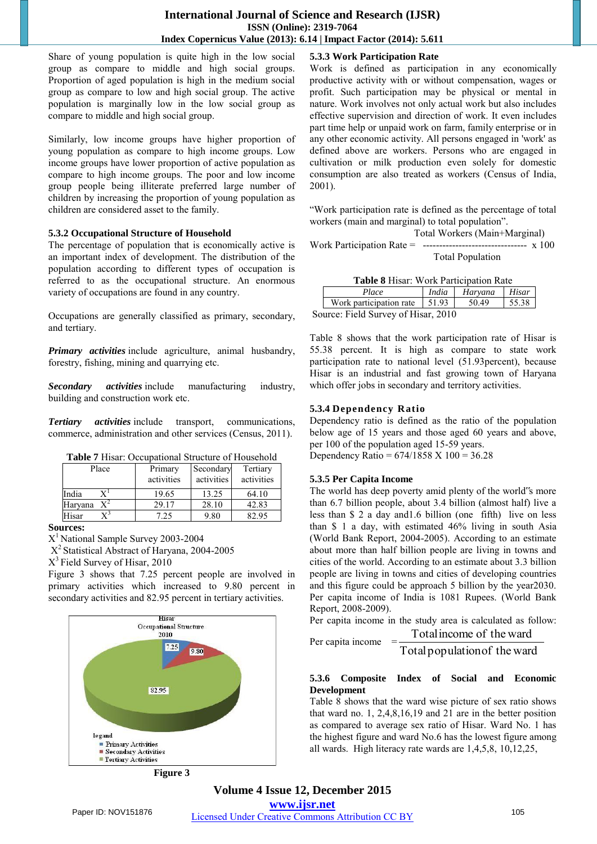Share of young population is quite high in the low social group as compare to middle and high social groups. Proportion of aged population is high in the medium social group as compare to low and high social group. The active population is marginally low in the low social group as compare to middle and high social group.

Similarly, low income groups have higher proportion of young population as compare to high income groups. Low income groups have lower proportion of active population as compare to high income groups. The poor and low income group people being illiterate preferred large number of children by increasing the proportion of young population as children are considered asset to the family.

#### **5.3.2 Occupational Structure of Household**

The percentage of population that is economically active is an important index of development. The distribution of the population according to different types of occupation is referred to as the occupational structure. An enormous variety of occupations are found in any country.

Occupations are generally classified as primary, secondary, and tertiary.

*Primary activities* include agriculture, animal husbandry, forestry, fishing, mining and quarrying etc.

*Secondary activities* include manufacturing industry, building and construction work etc.

*Tertiary activities* include transport, communications, commerce, administration and other services (Census, 2011).

**Table 7** Hisar: Occupational Structure of Household

| Place            | Primary<br>activities | Secondary<br>activities | Tertiary<br>activities |  |
|------------------|-----------------------|-------------------------|------------------------|--|
| India            | 19.65                 | 13.25                   | 64.10                  |  |
| $X^2$<br>Haryana | 29.17                 | 28.10                   | 42.83                  |  |
| Hisar            | 7.25                  | 9.80                    | 82.95                  |  |

**Sources:** 

X <sup>1</sup>National Sample Survey 2003-2004

X<sup>2</sup> Statistical Abstract of Haryana, 2004-2005

X<sup>3</sup> Field Survey of Hisar, 2010

Figure 3 shows that 7.25 percent people are involved in primary activities which increased to 9.80 percent in secondary activities and 82.95 percent in tertiary activities.



**Figure 3** 

# **5.3.3 Work Participation Rate**

Work is defined as participation in any economically productive activity with or without compensation, wages or profit. Such participation may be physical or mental in nature. Work involves not only actual work but also includes effective supervision and direction of work. It even includes part time help or unpaid work on farm, family enterprise or in any other economic activity. All persons engaged in 'work' as defined above are workers. Persons who are engaged in cultivation or milk production even solely for domestic consumption are also treated as workers (Census of India, 2001).

"Work participation rate is defined as the percentage of total workers (main and marginal) to total population".

 Total Workers (Main+Marginal) Work Participation Rate =  $\frac{100}{100}$ Total Population

|                         | India<br>Hisar<br>Haryana                                                                |       |       |  |  |
|-------------------------|------------------------------------------------------------------------------------------|-------|-------|--|--|
| Place                   |                                                                                          |       |       |  |  |
| Work participation rate |                                                                                          | 50.49 | 55.38 |  |  |
|                         | Table 8 Hisar: Work Participation Rate<br>1,51.93<br>Source: Field Survey of Hisar, 2010 |       |       |  |  |

Table 8 shows that the work participation rate of Hisar is 55.38 percent. It is high as compare to state work participation rate to national level (51.93percent), because Hisar is an industrial and fast growing town of Haryana which offer jobs in secondary and territory activities.

#### **5.3.4 Dependency Ratio**

Dependency ratio is defined as the ratio of the population below age of 15 years and those aged 60 years and above, per 100 of the population aged 15-59 years. Dependency Ratio =  $674/1858$  X  $100 = 36.28$ 

#### **5.3.5 Per Capita Income**

The world has deep poverty amid plenty of the world"s more than 6.7 billion people, about 3.4 billion (almost half) live a less than \$ 2 a day and1.6 billion (one fifth) live on less than \$ 1 a day, with estimated 46% living in south Asia (World Bank Report, 2004-2005). According to an estimate about more than half billion people are living in towns and cities of the world. According to an estimate about 3.3 billion people are living in towns and cities of developing countries and this figure could be approach 5 billion by the year2030. Per capita income of India is 1081 Rupees. (World Bank Report, 2008-2009).

Per capita income in the study area is calculated as follow:

Per capita income

Total population of the ward Total income of the ward

### **5.3.6 Composite Index of Social and Economic Development**

Table 8 shows that the ward wise picture of sex ratio shows that ward no. 1, 2,4,8,16,19 and 21 are in the better position as compared to average sex ratio of Hisar. Ward No. 1 has the highest figure and ward No.6 has the lowest figure among all wards. High literacy rate wards are 1,4,5,8, 10,12,25,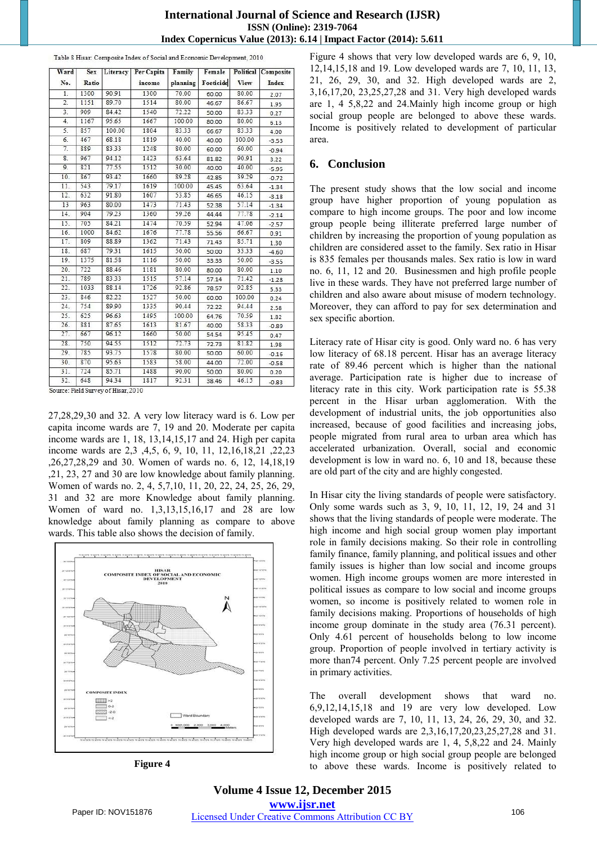## **International Journal of Science and Research (IJSR) ISSN (Online): 2319-7064 Index Copernicus Value (2013): 6.14 | Impact Factor (2014): 5.611**

| Ward             | Sex   | Literacy | Per Capita | Family   | Female    |        | Political Composite |
|------------------|-------|----------|------------|----------|-----------|--------|---------------------|
| No.              | Ratio |          | income     | planning | Foeticide | View   | Index               |
| 1.               | 1300  | 90.91    | 1300       | 70.00    | 60.00     | 80.00  | 2.07                |
| $\overline{2}$ . | 1151  | 89.70    | 1514       | 80.00    | 46.67     | 86.67  | 1.95                |
| $\overline{3}$ . | 909   | 84.42    | 1540       | 72.22    | 50.00     | 83.33  | 0.27                |
| 4.               | 1167  | 95.65    | 1667       | 100.00   | 80.00     | 80.00  | 6.13                |
| 5.               | 857   | 100.00   | 1804       | 83.33    | 66.67     | 83.33  | 4.00                |
| 6.               | 467   | 68.18    | 1819       | 40.00    | 40.00     | 100.00 | $-3.53$             |
| 7.               | 889   | 83.33    | 1248       | 80.00    | 60.00     | 60.00  | $-0.94$             |
| 8.               | 967   | 94.12    | 1423       | 63.64    | 81.82     | 90.91  | 3.22                |
| 9.               | 821   | 77.55    | 1512       | 30.00    | 40.00     | 40.00  | $-5.95$             |
| 10.              | 867   | 93.42    | 1660       | 89.28    | 42.85     | 39.29  | $-0.72$             |
| 11.              | 543   | 79.17    | 1619       | 100.00   | 45.45     | 63.64  | $-1.34$             |
| 12.              | 632   | 91.80    | 1607       | 53.85    | 46.65     | 46.15  | $-3.18$             |
| 13               | 963   | 80.00    | 1473       | 71.43    | 52.38     | 57.14  | $-1.34$             |
| 14.              | 904   | 79.23    | 1360       | 59.26    | 44.44     | 77.78  | $-2.14$             |
| 15.              | 705   | 84.21    | 1474       | 70.59    | 52.94     | 47.06  | $-2.57$             |
| 16.              | 1000  | 84.62    | 1676       | 77.78    | 55.56     | 66.67  | 0.91                |
| 17.              | 809   | 88.89    | 1362       | 71.43    | 71.43     | 85.71  | 1.30                |
| 18.              | 687   | 79.31    | 1615       | 50.00    | 50.00     | 33.33  | $-4.60$             |
| 19.              | 1375  | 81.58    | 1116       | 50.00    | 33.33     | 50.00  | $-3.55$             |
| 20.              | 722   | 88.46    | 1181       | 80.00    | 80.00     | 80.00  | 1.10                |
| 21.              | 789   | 83.33    | 1515       | 57.14    | 57.14     | 71.42  | $-1.28$             |
| 22.              | 1033  | 88.14    | 1726       | 92.86    | 78.57     | 92.85  | 5.33                |
| 23.              | 846   | 82.22    | 1527       | 50.00    | 60.00     | 100.00 | 0.24                |
| 24.              | 754   | 89.90    | 1335       | 90.44    | 72.22     | 94.44  | 2.58                |
| 25.              | 625   | 96.63    | 1495       | 100.00   | 64.76     | 70.59  | 1.82                |
| 26.              | 881   | 87.65    | 1613       | 81.67    | 40.00     | 58.33  | $-0.89$             |
| 27.              | 667   | 96.12    | 1660       | 50.00    | 54.54     | 95.45  | 0.47                |
| 28.              | 750   | 94.55    | 1512       | 72.73    | 72.73     | 81.82  | 1.98                |
| 29.              | 785   | 93.75    | 1578       | 80.00    | 50.00     | 60.00  | $-0.16$             |
| 30.              | 870   | 95.63    | 1583       | 58.00    | 44.00     | 72.00  | $-0.58$             |
| 31.              | 724   | 85.71    | 1488       | 90.00    | 50.00     | 80.00  | 0.20                |
| 32.              | 648   | 94.34    | 1817       | 92.31    | 38.46     | 46.15  | $-0.83$             |

Table 8 Hisar: Composite Index of Social and Economic Development, 2010

Source: Field Survey of Hisar, 2010

27,28,29,30 and 32. A very low literacy ward is 6. Low per capita income wards are 7, 19 and 20. Moderate per capita income wards are 1, 18, 13,14,15,17 and 24. High per capita income wards are 2,3 ,4,5, 6, 9, 10, 11, 12,16,18,21 ,22,23 ,26,27,28,29 and 30. Women of wards no. 6, 12, 14,18,19 ,21, 23, 27 and 30 are low knowledge about family planning. Women of wards no. 2, 4, 5,7,10, 11, 20, 22, 24, 25, 26, 29, 31 and 32 are more Knowledge about family planning. Women of ward no. 1,3,13,15,16,17 and 28 are low knowledge about family planning as compare to above wards. This table also shows the decision of family.



**Figure 4**

Figure 4 shows that very low developed wards are 6, 9, 10, 12,14,15,18 and 19. Low developed wards are 7, 10, 11, 13, 21, 26, 29, 30, and 32. High developed wards are 2, 3,16,17,20, 23,25,27,28 and 31. Very high developed wards are 1, 4 5,8,22 and 24.Mainly high income group or high social group people are belonged to above these wards. Income is positively related to development of particular area.

### **6. Conclusion**

The present study shows that the low social and income group have higher proportion of young population as compare to high income groups. The poor and low income group people being illiterate preferred large number of children by increasing the proportion of young population as children are considered asset to the family. Sex ratio in Hisar is 835 females per thousands males. Sex ratio is low in ward no. 6, 11, 12 and 20. Businessmen and high profile people live in these wards. They have not preferred large number of children and also aware about misuse of modern technology. Moreover, they can afford to pay for sex determination and sex specific abortion.

Literacy rate of Hisar city is good. Only ward no. 6 has very low literacy of 68.18 percent. Hisar has an average literacy rate of 89.46 percent which is higher than the national average. Participation rate is higher due to increase of literacy rate in this city. Work participation rate is 55.38 percent in the Hisar urban agglomeration. With the development of industrial units, the job opportunities also increased, because of good facilities and increasing jobs, people migrated from rural area to urban area which has accelerated urbanization. Overall, social and economic development is low in ward no. 6, 10 and 18, because these are old part of the city and are highly congested.

In Hisar city the living standards of people were satisfactory. Only some wards such as 3, 9, 10, 11, 12, 19, 24 and 31 shows that the living standards of people were moderate. The high income and high social group women play important role in family decisions making. So their role in controlling family finance, family planning, and political issues and other family issues is higher than low social and income groups women. High income groups women are more interested in political issues as compare to low social and income groups women, so income is positively related to women role in family decisions making. Proportions of households of high income group dominate in the study area (76.31 percent). Only 4.61 percent of households belong to low income group. Proportion of people involved in tertiary activity is more than74 percent. Only 7.25 percent people are involved in primary activities.

The overall development shows that ward no. 6,9,12,14,15,18 and 19 are very low developed. Low developed wards are 7, 10, 11, 13, 24, 26, 29, 30, and 32. High developed wards are 2,3,16,17,20,23,25,27,28 and 31. Very high developed wards are 1, 4, 5,8,22 and 24. Mainly high income group or high social group people are belonged to above these wards. Income is positively related to